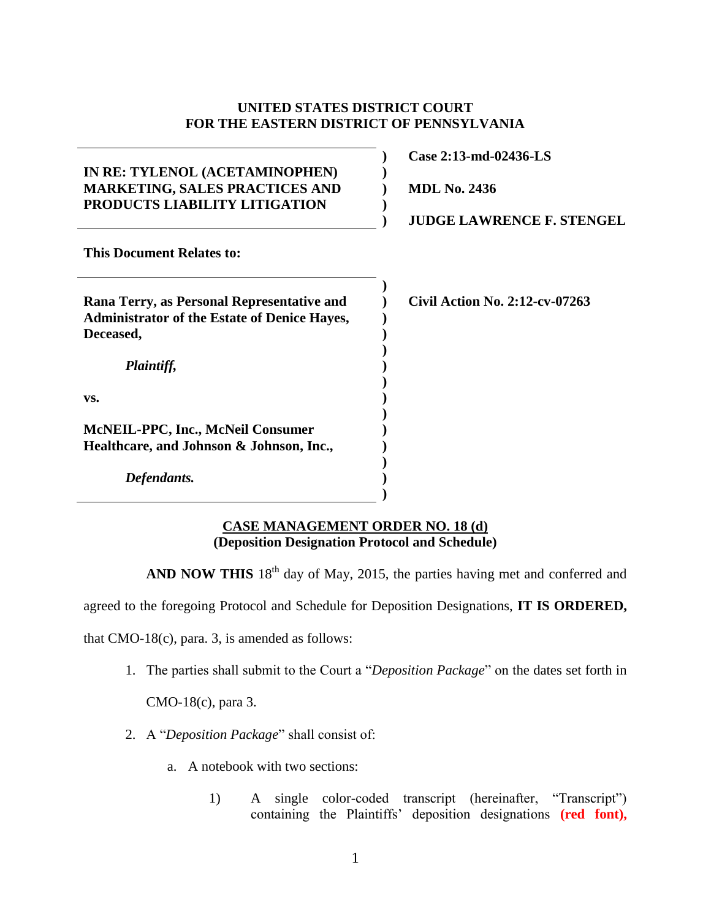### **UNITED STATES DISTRICT COURT FOR THE EASTERN DISTRICT OF PENNSYLVANIA**

**) ) ) ) )**

**) ) ) ) ) ) ) ) ) ) ) ) ) )**

## **IN RE: TYLENOL (ACETAMINOPHEN) MARKETING, SALES PRACTICES AND PRODUCTS LIABILITY LITIGATION**

**Case 2:13-md-02436-LS**

**MDL No. 2436**

**JUDGE LAWRENCE F. STENGEL**

**This Document Relates to:**

| Rana Terry, as Personal Representative and          |
|-----------------------------------------------------|
| <b>Administrator of the Estate of Denice Haves,</b> |
| Deceased,                                           |
|                                                     |

**Civil Action No. 2:12-cv-07263**

# **vs.**

**McNEIL-PPC, Inc., McNeil Consumer Healthcare, and Johnson & Johnson, Inc.,**

*Defendants.*

*Plaintiff,*

#### **CASE MANAGEMENT ORDER NO. 18 (d) (Deposition Designation Protocol and Schedule)**

AND NOW THIS 18<sup>th</sup> day of May, 2015, the parties having met and conferred and

agreed to the foregoing Protocol and Schedule for Deposition Designations, **IT IS ORDERED,**

that CMO-18(c), para. 3, is amended as follows:

1. The parties shall submit to the Court a "*Deposition Package*" on the dates set forth in

CMO-18(c), para 3.

- 2. A "*Deposition Package*" shall consist of:
	- a. A notebook with two sections:
		- 1) A single color-coded transcript (hereinafter, "Transcript") containing the Plaintiffs' deposition designations **(red font),**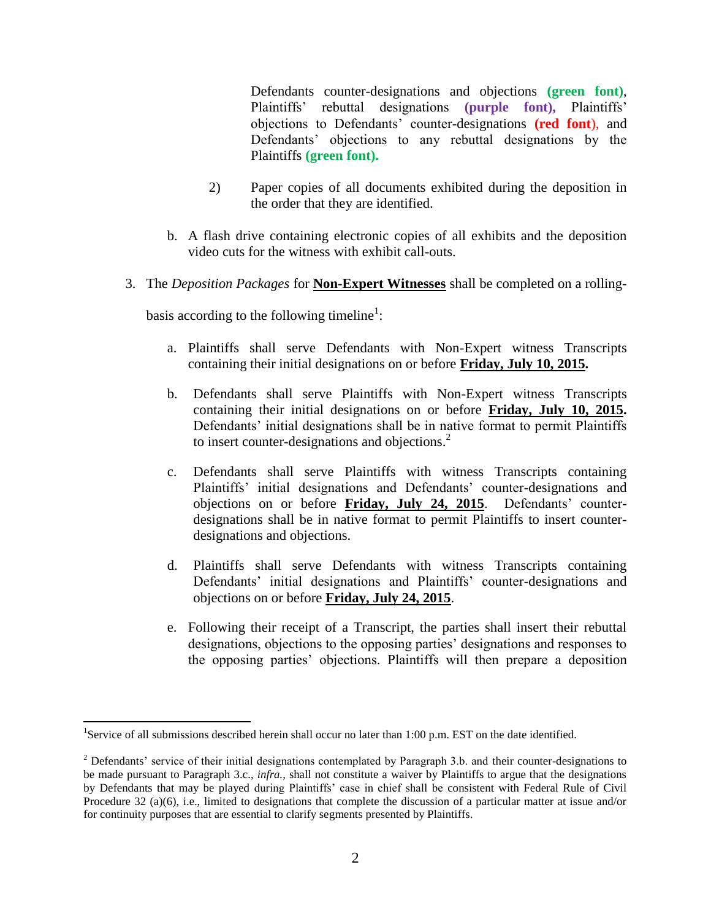Defendants counter-designations and objections **(green font)**, Plaintiffs' rebuttal designations **(purple font),** Plaintiffs' objections to Defendants' counter-designations **(red font**), and Defendants' objections to any rebuttal designations by the Plaintiffs **(green font).** 

- 2) Paper copies of all documents exhibited during the deposition in the order that they are identified.
- b. A flash drive containing electronic copies of all exhibits and the deposition video cuts for the witness with exhibit call-outs.
- 3. The *Deposition Packages* for **Non-Expert Witnesses** shall be completed on a rolling-

basis according to the following timeline<sup>1</sup>:

- a. Plaintiffs shall serve Defendants with Non-Expert witness Transcripts containing their initial designations on or before **Friday, July 10, 2015.**
- b. Defendants shall serve Plaintiffs with Non-Expert witness Transcripts containing their initial designations on or before **Friday, July 10, 2015.**  Defendants' initial designations shall be in native format to permit Plaintiffs to insert counter-designations and objections.<sup>2</sup>
- c. Defendants shall serve Plaintiffs with witness Transcripts containing Plaintiffs' initial designations and Defendants' counter-designations and objections on or before **Friday, July 24, 2015**. Defendants' counterdesignations shall be in native format to permit Plaintiffs to insert counterdesignations and objections.
- d. Plaintiffs shall serve Defendants with witness Transcripts containing Defendants' initial designations and Plaintiffs' counter-designations and objections on or before **Friday, July 24, 2015**.
- e. Following their receipt of a Transcript, the parties shall insert their rebuttal designations, objections to the opposing parties' designations and responses to the opposing parties' objections. Plaintiffs will then prepare a deposition

l

<sup>&</sup>lt;sup>1</sup>Service of all submissions described herein shall occur no later than 1:00 p.m. EST on the date identified.

<sup>&</sup>lt;sup>2</sup> Defendants' service of their initial designations contemplated by Paragraph 3.b. and their counter-designations to be made pursuant to Paragraph 3.c., *infra.,* shall not constitute a waiver by Plaintiffs to argue that the designations by Defendants that may be played during Plaintiffs' case in chief shall be consistent with Federal Rule of Civil Procedure 32 (a)(6), i.e., limited to designations that complete the discussion of a particular matter at issue and/or for continuity purposes that are essential to clarify segments presented by Plaintiffs.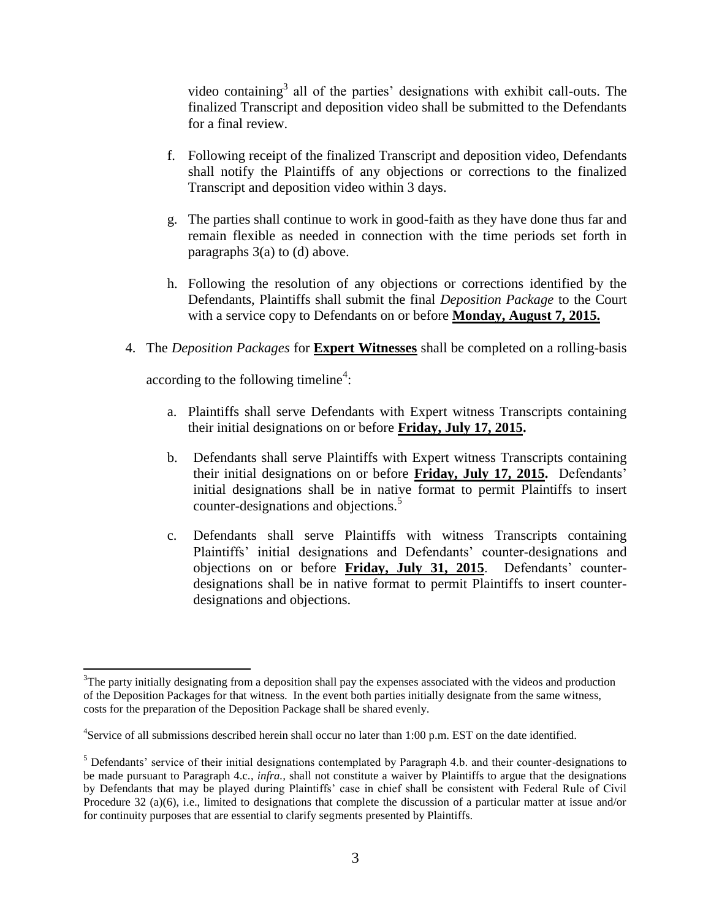video containing<sup>3</sup> all of the parties' designations with exhibit call-outs. The finalized Transcript and deposition video shall be submitted to the Defendants for a final review.

- f. Following receipt of the finalized Transcript and deposition video, Defendants shall notify the Plaintiffs of any objections or corrections to the finalized Transcript and deposition video within 3 days.
- g. The parties shall continue to work in good-faith as they have done thus far and remain flexible as needed in connection with the time periods set forth in paragraphs 3(a) to (d) above.
- h. Following the resolution of any objections or corrections identified by the Defendants, Plaintiffs shall submit the final *Deposition Package* to the Court with a service copy to Defendants on or before **Monday, August 7, 2015.**
- 4. The *Deposition Packages* for **Expert Witnesses** shall be completed on a rolling-basis

according to the following timeline<sup>4</sup>:

 $\overline{a}$ 

- a. Plaintiffs shall serve Defendants with Expert witness Transcripts containing their initial designations on or before **Friday, July 17, 2015.**
- b. Defendants shall serve Plaintiffs with Expert witness Transcripts containing their initial designations on or before **Friday, July 17, 2015.** Defendants' initial designations shall be in native format to permit Plaintiffs to insert counter-designations and objections.<sup>5</sup>
- c. Defendants shall serve Plaintiffs with witness Transcripts containing Plaintiffs' initial designations and Defendants' counter-designations and objections on or before **Friday, July 31, 2015**. Defendants' counterdesignations shall be in native format to permit Plaintiffs to insert counterdesignations and objections.

 $3$ The party initially designating from a deposition shall pay the expenses associated with the videos and production of the Deposition Packages for that witness. In the event both parties initially designate from the same witness, costs for the preparation of the Deposition Package shall be shared evenly.

<sup>&</sup>lt;sup>4</sup>Service of all submissions described herein shall occur no later than 1:00 p.m. EST on the date identified.

<sup>5</sup> Defendants' service of their initial designations contemplated by Paragraph 4.b. and their counter-designations to be made pursuant to Paragraph 4.c., *infra.,* shall not constitute a waiver by Plaintiffs to argue that the designations by Defendants that may be played during Plaintiffs' case in chief shall be consistent with Federal Rule of Civil Procedure 32 (a)(6), i.e., limited to designations that complete the discussion of a particular matter at issue and/or for continuity purposes that are essential to clarify segments presented by Plaintiffs.